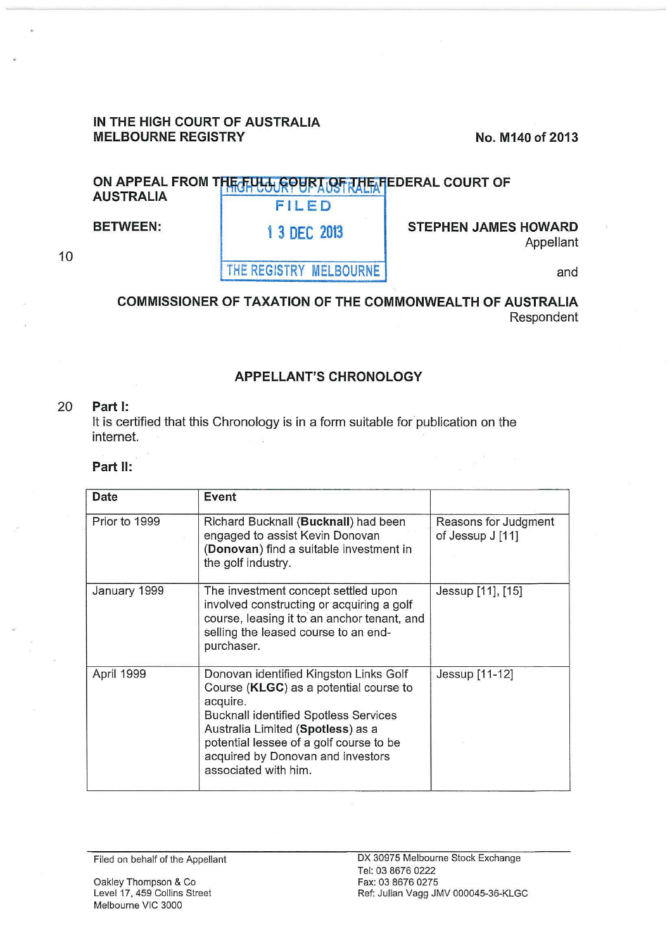### **IN THE HIGH COURT OF AUSTRALIA MELBOURNE REGISTRY** No. M140 of 2013

and

# ON APPEAL FROM THE FULL COURT OF THE FEDERAL COURT OF **AUSTRALIA FILED**

**BETWEEN:** 1 3 DEC 2013

**STEPHEN JAMES HOWARD**  Appellant

10

**THE REGISTRY MELBOURNE** 

## **COMMISSIONER OF TAXATION OF THE COMMONWEALTH OF AUSTRALIA**  Respondent

## **APPELLANT'S CHRONOLOGY**

#### 20 **Part 1:**

It is certified that this Chronology is in a form suitable for publication on the internet.

#### **Part II:**

| Date          | Event                                                                                                                                                                                                                                                                                     |                                          |
|---------------|-------------------------------------------------------------------------------------------------------------------------------------------------------------------------------------------------------------------------------------------------------------------------------------------|------------------------------------------|
| Prior to 1999 | Richard Bucknall (Bucknall) had been<br>engaged to assist Kevin Donovan<br>(Donovan) find a suitable investment in<br>the golf industry.                                                                                                                                                  | Reasons for Judgment<br>of Jessup J [11] |
| January 1999  | The investment concept settled upon<br>involved constructing or acquiring a golf<br>course, leasing it to an anchor tenant, and<br>selling the leased course to an end-<br>purchaser.                                                                                                     | Jessup [11], [15]                        |
| April 1999    | Donovan identified Kingston Links Golf<br>Course (KLGC) as a potential course to<br>acquire.<br><b>Bucknall identified Spotless Services</b><br>Australia Limited (Spotless) as a<br>potential lessee of a golf course to be<br>acquired by Donovan and investors<br>associated with him. | Jessup [11-12]                           |

Oakley Thompson & Co Level 17, 459 Collins Street Melbourne VIC 3000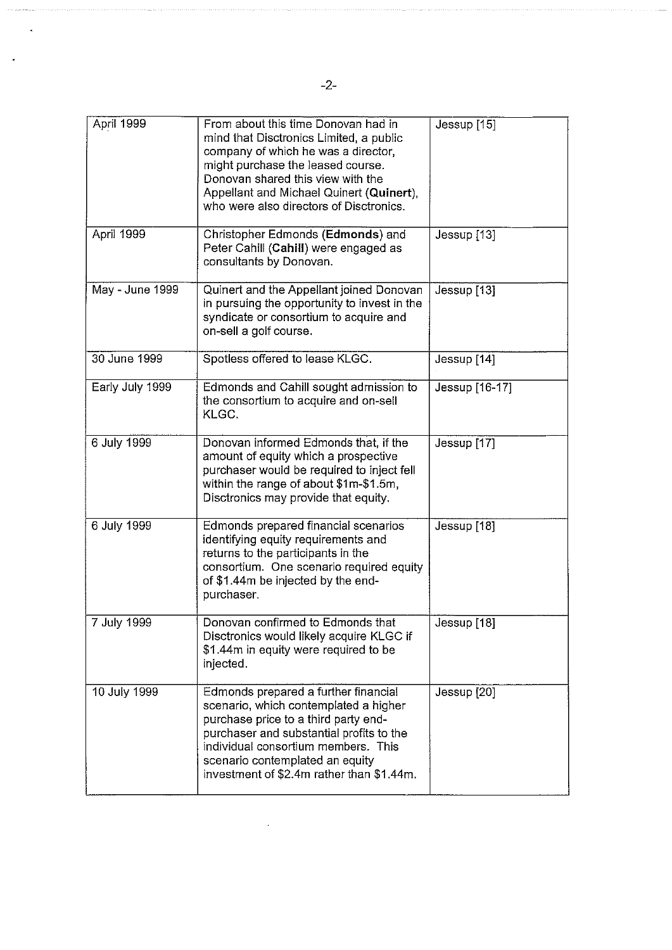| April 1999      | From about this time Donovan had in<br>mind that Disctronics Limited, a public<br>company of which he was a director,<br>might purchase the leased course.<br>Donovan shared this view with the<br>Appellant and Michael Quinert (Quinert),<br>who were also directors of Disctronics.   | Jessup [15]    |
|-----------------|------------------------------------------------------------------------------------------------------------------------------------------------------------------------------------------------------------------------------------------------------------------------------------------|----------------|
| April 1999      | Christopher Edmonds (Edmonds) and<br>Peter Cahill (Cahill) were engaged as<br>consultants by Donovan.                                                                                                                                                                                    | Jessup [13]    |
| May - June 1999 | Quinert and the Appellant joined Donovan<br>in pursuing the opportunity to invest in the<br>syndicate or consortium to acquire and<br>on-sell a golf course.                                                                                                                             | Jessup [13]    |
| 30 June 1999    | Spotless offered to lease KLGC.                                                                                                                                                                                                                                                          | Jessup [14]    |
| Early July 1999 | Edmonds and Cahill sought admission to<br>the consortium to acquire and on-sell<br>KLGC.                                                                                                                                                                                                 | Jessup [16-17] |
| 6 July 1999     | Donovan informed Edmonds that, if the<br>amount of equity which a prospective<br>purchaser would be required to inject fell<br>within the range of about \$1m-\$1.5m,<br>Disctronics may provide that equity.                                                                            | Jessup [17]    |
| 6 July 1999     | Edmonds prepared financial scenarios<br>identifying equity requirements and<br>returns to the participants in the<br>consortium. One scenario required equity<br>of \$1.44m be injected by the end-<br>purchaser.                                                                        | Jessup [18]    |
| 7 July 1999     | Donovan confirmed to Edmonds that<br>Disctronics would likely acquire KLGC if<br>\$1.44m in equity were required to be<br>injected.                                                                                                                                                      | Jessup [18]    |
| 10 July 1999    | Edmonds prepared a further financial<br>scenario, which contemplated a higher<br>purchase price to a third party end-<br>purchaser and substantial profits to the<br>individual consortium members. This<br>scenario contemplated an equity<br>investment of \$2.4m rather than \$1.44m. | Jessup [20]    |

 $\sim$ 

 $\ddot{\phantom{0}}$ 

 $\ddot{\phantom{a}}$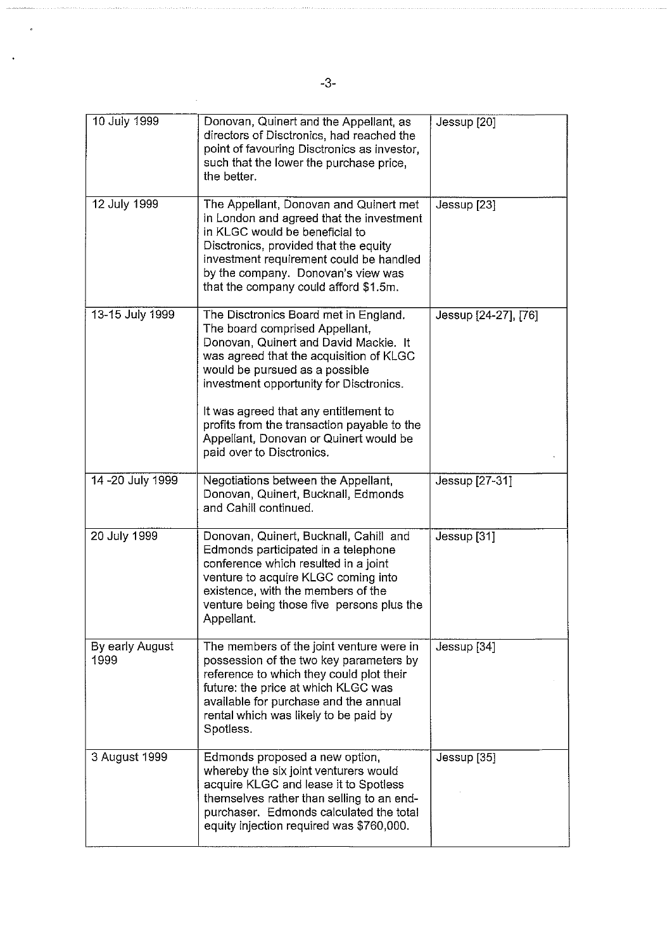| 10 July 1999            | Donovan, Quinert and the Appellant, as<br>directors of Disctronics, had reached the<br>point of favouring Disctronics as investor,<br>such that the lower the purchase price,<br>the better.                                                                                                                                                                                                            | Jessup [20]            |
|-------------------------|---------------------------------------------------------------------------------------------------------------------------------------------------------------------------------------------------------------------------------------------------------------------------------------------------------------------------------------------------------------------------------------------------------|------------------------|
| 12 July 1999            | The Appellant, Donovan and Quinert met<br>in London and agreed that the investment<br>in KLGC would be beneficial to<br>Disctronics, provided that the equity<br>investment requirement could be handled<br>by the company. Donovan's view was<br>that the company could afford \$1.5m.                                                                                                                 | Jessup [23]            |
| 13-15 July 1999         | The Disctronics Board met in England.<br>The board comprised Appellant,<br>Donovan, Quinert and David Mackie. It<br>was agreed that the acquisition of KLGC<br>would be pursued as a possible<br>investment opportunity for Disctronics.<br>It was agreed that any entitlement to<br>profits from the transaction payable to the<br>Appellant, Donovan or Quinert would be<br>paid over to Disctronics. | Jessup [24-27], [76]   |
| 14 - 20 July 1999       | Negotiations between the Appellant,<br>Donovan, Quinert, Bucknall, Edmonds<br>and Cahill continued.                                                                                                                                                                                                                                                                                                     | Jessup [27-31]         |
| 20 July 1999            | Donovan, Quinert, Bucknall, Cahill and<br>Edmonds participated in a telephone<br>conference which resulted in a joint<br>venture to acquire KLGC coming into<br>existence, with the members of the<br>venture being those five persons plus the<br>Appellant.                                                                                                                                           | Jessup <sup>[31]</sup> |
| By early August<br>1999 | The members of the joint venture were in<br>possession of the two key parameters by<br>reference to which they could plot their<br>future: the price at which KLGC was<br>available for purchase and the annual<br>rental which was likely to be paid by<br>Spotless.                                                                                                                                   | Jessup [34]            |
| 3 August 1999           | Edmonds proposed a new option,<br>whereby the six joint venturers would<br>acquire KLGC and lease it to Spotless<br>themselves rather than selling to an end-<br>purchaser. Edmonds calculated the total<br>equity injection required was \$760,000.                                                                                                                                                    | Jessup [35]            |

 $\sim$ 

 $\overline{a}$ 

 $\ddot{\phantom{0}}$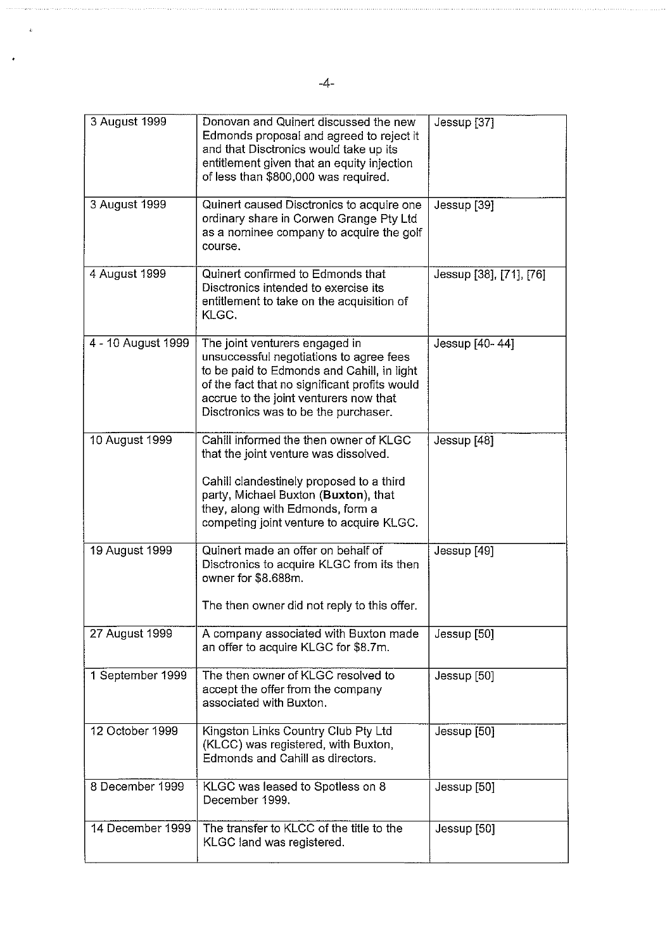| 3 August 1999      | Donovan and Quinert discussed the new<br>Edmonds proposal and agreed to reject it<br>and that Disctronics would take up its<br>entitlement given that an equity injection<br>of less than \$800,000 was required.                                          | Jessup [37]             |
|--------------------|------------------------------------------------------------------------------------------------------------------------------------------------------------------------------------------------------------------------------------------------------------|-------------------------|
| 3 August 1999      | Quinert caused Disctronics to acquire one<br>ordinary share in Corwen Grange Pty Ltd<br>as a nominee company to acquire the golf<br>course.                                                                                                                | Jessup [39]             |
| 4 August 1999      | Quinert confirmed to Edmonds that<br>Disctronics intended to exercise its<br>entitlement to take on the acquisition of<br>KLGC.                                                                                                                            | Jessup [38], [71], [76] |
| 4 - 10 August 1999 | The joint venturers engaged in<br>unsuccessful negotiations to agree fees<br>to be paid to Edmonds and Cahill, in light<br>of the fact that no significant profits would<br>accrue to the joint venturers now that<br>Disctronics was to be the purchaser. | Jessup [40-44]          |
| 10 August 1999     | Cahill informed the then owner of KLGC<br>that the joint venture was dissolved.<br>Cahill clandestinely proposed to a third<br>party, Michael Buxton (Buxton), that<br>they, along with Edmonds, form a<br>competing joint venture to acquire KLGC.        | Jessup [48]             |
| 19 August 1999     | Quinert made an offer on behalf of<br>Disctronics to acquire KLGC from its then<br>owner for \$8.688m.<br>The then owner did not reply to this offer.                                                                                                      | Jessup [49]             |
| 27 August 1999     | A company associated with Buxton made<br>an offer to acquire KLGC for \$8.7m.                                                                                                                                                                              | Jessup [50]             |
| 1 September 1999   | The then owner of KLGC resolved to<br>accept the offer from the company<br>associated with Buxton.                                                                                                                                                         | Jessup [50]             |
| 12 October 1999    | Kingston Links Country Club Pty Ltd<br>(KLCC) was registered, with Buxton,<br>Edmonds and Cahill as directors.                                                                                                                                             | Jessup [50]             |
| 8 December 1999    | KLGC was leased to Spotless on 8<br>December 1999.                                                                                                                                                                                                         | Jessup [50]             |
| 14 December 1999   | The transfer to KLCC of the title to the<br>KLGC land was registered.                                                                                                                                                                                      | Jessup [50]             |